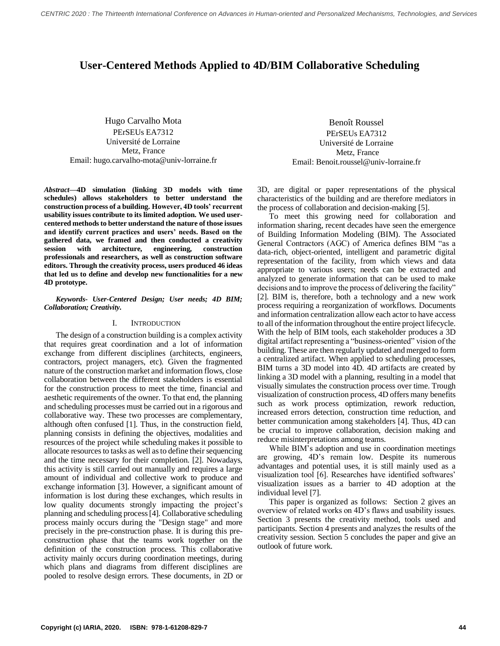# **User-Centered Methods Applied to 4D/BIM Collaborative Scheduling**

Hugo Carvalho Mota PErSEUs EA7312 Université de Lorraine Metz, France Email: hugo.carvalho-mota@univ-lorraine.fr

*Abstract***—4D simulation (linking 3D models with time schedules) allows stakeholders to better understand the construction process of a building. However, 4D tools' recurrent usability issues contribute to its limited adoption. We used usercentered methods to better understand the nature of those issues and identify current practices and users' needs. Based on the gathered data, we framed and then conducted a creativity session with architecture, engineering, construction professionals and researchers, as well as construction software editors. Through the creativity process, users produced 46 ideas that led us to define and develop new functionalities for a new 4D prototype.**

# *Keywords- User-Centered Design; User needs; 4D BIM; Collaboration; Creativity.*

# I. INTRODUCTION

The design of a construction building is a complex activity that requires great coordination and a lot of information exchange from different disciplines (architects, engineers, contractors, project managers, etc). Given the fragmented nature of the construction market and information flows, close collaboration between the different stakeholders is essential for the construction process to meet the time, financial and aesthetic requirements of the owner. To that end, the planning and scheduling processes must be carried out in a rigorous and collaborative way. These two processes are complementary, although often confused [1]. Thus, in the construction field, planning consists in defining the objectives, modalities and resources of the project while scheduling makes it possible to allocate resources to tasks as well as to define their sequencing and the time necessary for their completion. [2]. Nowadays, this activity is still carried out manually and requires a large amount of individual and collective work to produce and exchange information [3]. However, a significant amount of information is lost during these exchanges, which results in low quality documents strongly impacting the project's planning and scheduling process [4]. Collaborative scheduling process mainly occurs during the "Design stage" and more precisely in the pre-construction phase. It is during this preconstruction phase that the teams work together on the definition of the construction process. This collaborative activity mainly occurs during coordination meetings, during which plans and diagrams from different disciplines are pooled to resolve design errors. These documents, in 2D or

Benoît Roussel PErSEUs EA7312 Université de Lorraine Metz, France Email: Benoit.roussel@univ-lorraine.fr

3D, are digital or paper representations of the physical characteristics of the building and are therefore mediators in the process of collaboration and decision-making [5].

To meet this growing need for collaboration and information sharing, recent decades have seen the emergence of Building Information Modeling (BIM). The Associated General Contractors (AGC) of America defines BIM "as a data-rich, object-oriented, intelligent and parametric digital representation of the facility, from which views and data appropriate to various users; needs can be extracted and analyzed to generate information that can be used to make decisions and to improve the process of delivering the facility" [2]. BIM is, therefore, both a technology and a new work process requiring a reorganization of workflows. Documents and information centralization allow each actor to have access to all of the information throughout the entire project lifecycle. With the help of BIM tools, each stakeholder produces a 3D digital artifact representing a "business-oriented" vision of the building. These are then regularly updated and merged to form a centralized artifact. When applied to scheduling processes, BIM turns a 3D model into 4D. 4D artifacts are created by linking a 3D model with a planning, resulting in a model that visually simulates the construction process over time. Trough visualization of construction process, 4D offers many benefits such as work process optimization, rework reduction, increased errors detection, construction time reduction, and better communication among stakeholders [4]. Thus, 4D can be crucial to improve collaboration, decision making and reduce misinterpretations among teams.

While BIM's adoption and use in coordination meetings are growing, 4D's remain low. Despite its numerous advantages and potential uses, it is still mainly used as a visualization tool [6]. Researches have identified softwares' visualization issues as a barrier to 4D adoption at the individual level [7].

This paper is organized as follows: Section 2 gives an overview of related works on 4D's flaws and usability issues. Section 3 presents the creativity method, tools used and participants. Section 4 presents and analyzes the results of the creativity session. Section 5 concludes the paper and give an outlook of future work.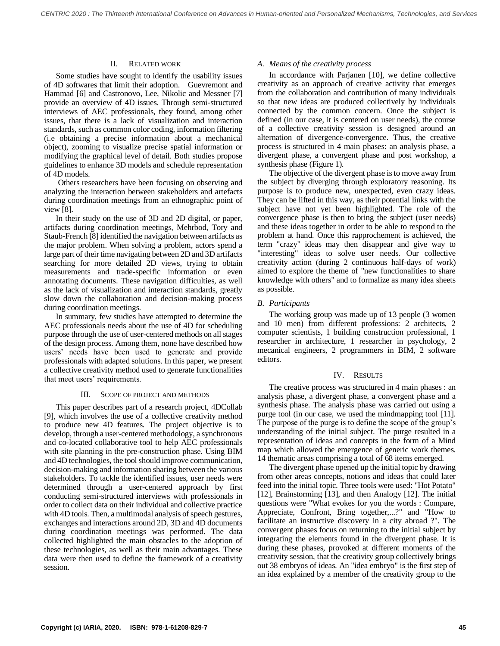# II. RELATED WORK

Some studies have sought to identify the usability issues of 4D softwares that limit their adoption. Guevremont and Hammad [6] and Castronovo, Lee, Nikolic and Messner [7] provide an overview of 4D issues. Through semi-structured interviews of AEC professionals, they found, among other issues, that there is a lack of visualization and interaction standards, such as common color coding, information filtering (i.e obtaining a precise information about a mechanical object), zooming to visualize precise spatial information or modifying the graphical level of detail. Both studies propose guidelines to enhance 3D models and schedule representation of 4D models.

Others researchers have been focusing on observing and analyzing the interaction between stakeholders and artefacts during coordination meetings from an ethnographic point of view [8].

In their study on the use of 3D and 2D digital, or paper, artifacts during coordination meetings, Mehrbod, Tory and Staub-French [8] identified the navigation between artifacts as the major problem. When solving a problem, actors spend a large part of their time navigating between 2D and 3D artifacts searching for more detailed 2D views, trying to obtain measurements and trade-specific information or even annotating documents. These navigation difficulties, as well as the lack of visualization and interaction standards, greatly slow down the collaboration and decision-making process during coordination meetings.

In summary, few studies have attempted to determine the AEC professionals needs about the use of 4D for scheduling purpose through the use of user-centered methods on all stages of the design process. Among them, none have described how users' needs have been used to generate and provide professionals with adapted solutions. In this paper, we present a collective creativity method used to generate functionalities that meet users' requirements.

## III. SCOPE OF PROJECT AND METHODS

This paper describes part of a research project, 4DCollab [9], which involves the use of a collective creativity method to produce new 4D features. The project objective is to develop, through a user-centered methodology, a synchronous and co-located collaborative tool to help AEC professionals with site planning in the pre-construction phase. Using BIM and 4D technologies, the tool should improve communication, decision-making and information sharing between the various stakeholders. To tackle the identified issues, user needs were determined through a user-centered approach by first conducting semi-structured interviews with professionals in order to collect data on their individual and collective practice with 4D tools. Then, a multimodal analysis of speech gestures, exchanges and interactions around 2D, 3D and 4D documents during coordination meetings was performed. The data collected highlighted the main obstacles to the adoption of these technologies, as well as their main advantages. These data were then used to define the framework of a creativity session.

# *A. Means of the creativity process*

In accordance with Parjanen [10], we define collective creativity as an approach of creative activity that emerges from the collaboration and contribution of many individuals so that new ideas are produced collectively by individuals connected by the common concern. Once the subject is defined (in our case, it is centered on user needs), the course of a collective creativity session is designed around an alternation of divergence-convergence. Thus, the creative process is structured in 4 main phases: an analysis phase, a divergent phase, a convergent phase and post workshop, a synthesis phase (Figure 1).

The objective of the divergent phase is to move away from the subject by diverging through exploratory reasoning. Its purpose is to produce new, unexpected, even crazy ideas. They can be lifted in this way, as their potential links with the subject have not yet been highlighted. The role of the convergence phase is then to bring the subject (user needs) and these ideas together in order to be able to respond to the problem at hand. Once this rapprochement is achieved, the term "crazy" ideas may then disappear and give way to "interesting" ideas to solve user needs. Our collective creativity action (during 2 continuous half-days of work) aimed to explore the theme of "new functionalities to share knowledge with others" and to formalize as many idea sheets as possible.

# *B. Participants*

The working group was made up of 13 people (3 women and 10 men) from different professions: 2 architects, 2 computer scientists, 1 building construction professional, 1 researcher in architecture, 1 researcher in psychology, 2 mecanical engineers, 2 programmers in BIM, 2 software editors.

## IV. RESULTS

The creative process was structured in 4 main phases : an analysis phase, a divergent phase, a convergent phase and a synthesis phase. The analysis phase was carried out using a purge tool (in our case, we used the mindmapping tool [11]. The purpose of the purge is to define the scope of the group's understanding of the initial subject. The purge resulted in a representation of ideas and concepts in the form of a Mind map which allowed the emergence of generic work themes. 14 thematic areas comprising a total of 68 items emerged.

The divergent phase opened up the initial topic by drawing from other areas concepts, notions and ideas that could later feed into the initial topic. Three tools were used: "Hot Potato" [12], Brainstorming [13], and then Analogy [12]. The initial questions were "What evokes for you the words : Compare, Appreciate, Confront, Bring together,...?" and "How to facilitate an instructive discovery in a city abroad ?". The convergent phases focus on returning to the initial subject by integrating the elements found in the divergent phase. It is during these phases, provoked at different moments of the creativity session, that the creativity group collectively brings out 38 embryos of ideas. An "idea embryo" is the first step of an idea explained by a member of the creativity group to the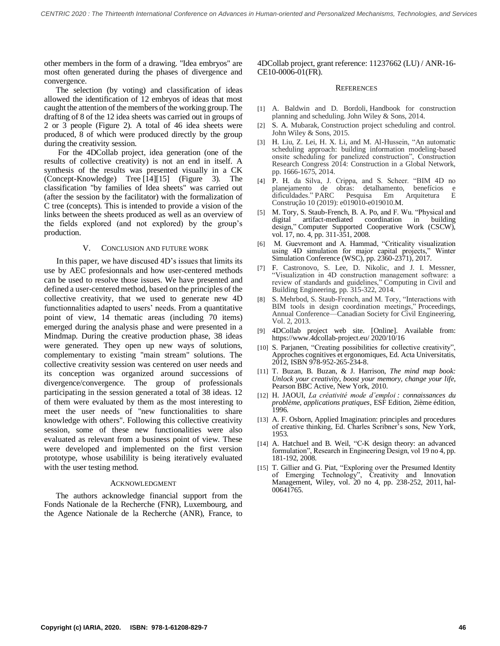other members in the form of a drawing. "Idea embryos" are most often generated during the phases of divergence and convergence.

The selection (by voting) and classification of ideas allowed the identification of 12 embryos of ideas that most caught the attention of the members of the working group. The drafting of 8 of the 12 idea sheets was carried out in groups of 2 or 3 people (Figure 2). A total of 46 idea sheets were produced, 8 of which were produced directly by the group during the creativity session.

For the 4DCollab project, idea generation (one of the results of collective creativity) is not an end in itself. A synthesis of the results was presented visually in a CK (Concept-Knowledge) Tree [14][15] (Figure 3). The classification "by families of Idea sheets" was carried out (after the session by the facilitator) with the formalization of C tree (concepts). This is intended to provide a vision of the links between the sheets produced as well as an overview of the fields explored (and not explored) by the group's production.

## V. CONCLUSION AND FUTURE WORK

 In this paper, we have discused 4D's issues that limits its use by AEC profesionnals and how user-centered methods can be used to resolve those issues. We have presented and defined a user-centered method, based on the principles of the collective creativity, that we used to generate new 4D functionnalities adapted to users' needs. From a quantitative point of view, 14 thematic areas (including 70 items) emerged during the analysis phase and were presented in a Mindmap. During the creative production phase, 38 ideas were generated. They open up new ways of solutions, complementary to existing "main stream" solutions. The collective creativity session was centered on user needs and its conception was organized around successions of divergence/convergence. The group of professionals participating in the session generated a total of 38 ideas. 12 of them were evaluated by them as the most interesting to meet the user needs of "new functionalities to share knowledge with others". Following this collective creativity session, some of these new functionalities were also evaluated as relevant from a business point of view. These were developed and implemented on the first version prototype, whose usabilility is being iteratively evaluated with the user testing method.

### ACKNOWLEDGMENT

The authors acknowledge financial support from the Fonds Nationale de la Recherche (FNR), Luxembourg, and the Agence Nationale de la Recherche (ANR), France, to 4DCollab project, grant reference: 11237662 (LU) / ANR-16- CE10-0006-01(FR).

#### **REFERENCES**

- [1] A. Baldwin and D. Bordoli, Handbook for construction planning and scheduling. John Wiley & Sons, 2014.
- [2] S. A. Mubarak, Construction project scheduling and control. John Wiley & Sons, 2015.
- [3] H. Liu, Z. Lei, H. X. Li, and M. Al-Hussein, "An automatic scheduling approach: building information modeling-based onsite scheduling for panelized construction", Construction Research Congress 2014: Construction in a Global Network, pp. 1666-1675, 2014.
- [4] P. H. da Silva, J. Crippa, and S. Scheer. "BIM 4D no planejamento de obras: detalhamento, benefícios e dificuldades." PARC Pesquisa Em Arquitetura E Construção 10 (2019): e019010-e019010.M.
- [5] M. Tory, S. Staub-French, B. A. Po, and F. Wu. "Physical and digital artifact-mediated coordination in building design," Computer Supported Cooperative Work (CSCW), vol. 17, no. 4, pp. 311-351, 2008.
- [6] M. Guevremont and A. Hammad, "Criticality visualization using 4D simulation for major capital projects," Winter Simulation Conference (WSC), pp. 2360-2371), 2017.
- F. Castronovo, S. Lee, D. Nikolic, and J. I. Messner, "Visualization in 4D construction management software: a review of standards and guidelines," Computing in Civil and Building Engineering, pp. 315-322, 2014.
- S. Mehrbod, S. Staub-French, and M. Tory, "Interactions with BIM tools in design coordination meetings," Proceedings, Annual Conference—Canadian Society for Civil Engineering, Vol. 2, 2013.
- [9] 4DCollab project web site. [Online]. Available from: https://www.4dcollab-project.eu/ 2020/10/16
- [10] S. Parjanen, "Creating possibilities for collective creativity", Approches cognitives et ergonomiques, Ed. Acta Universitatis, 2012, ISBN 978-952-265-234-8.
- [11] T. Buzan, B. Buzan, & J. Harrison, *The mind map book: Unlock your creativity, boost your memory, change your life*, Pearson BBC Active, New York, 2010.
- [12] H. JAOUI, *La créativité mode d'emploi : connaissances du problème, applications pratiques*, ESF Edition, 2ième édition, 1996.
- [13] A. F. Osborn, Applied Imagination: principles and procedures of creative thinking, Ed. Charles Scribner's sons, New York, 1953.
- [14] A. Hatchuel and B. Weil, "C-K design theory: an advanced formulation", Research in Engineering Design, vol 19 no 4, pp. 181-192, 2008.
- [15] T. Gillier and G. Piat, "Exploring over the Presumed Identity of Emerging Technology", Creativity and Innovation Management, Wiley, vol. 20 no 4, pp. 238-252, 2011, hal-00641765.